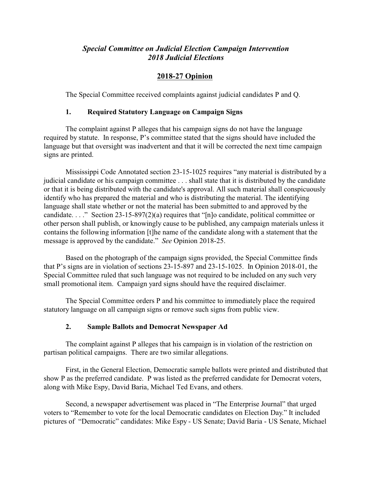## *Special Committee on Judicial Election Campaign Intervention 2018 Judicial Elections*

# **2018-27 Opinion**

The Special Committee received complaints against judicial candidates P and Q.

## **1. Required Statutory Language on Campaign Signs**

The complaint against P alleges that his campaign signs do not have the language required by statute. In response, P's committee stated that the signs should have included the language but that oversight was inadvertent and that it will be corrected the next time campaign signs are printed.

Mississippi Code Annotated section 23-15-1025 requires "any material is distributed by a judicial candidate or his campaign committee . . . shall state that it is distributed by the candidate or that it is being distributed with the candidate's approval. All such material shall conspicuously identify who has prepared the material and who is distributing the material. The identifying language shall state whether or not the material has been submitted to and approved by the candidate. . . ." Section 23-15-897(2)(a) requires that "[n]o candidate, political committee or other person shall publish, or knowingly cause to be published, any campaign materials unless it contains the following information [t]he name of the candidate along with a statement that the message is approved by the candidate." *See* Opinion 2018-25.

Based on the photograph of the campaign signs provided, the Special Committee finds that P's signs are in violation of sections 23-15-897 and 23-15-1025. In Opinion 2018-01, the Special Committee ruled that such language was not required to be included on any such very small promotional item. Campaign yard signs should have the required disclaimer.

The Special Committee orders P and his committee to immediately place the required statutory language on all campaign signs or remove such signs from public view.

## **2. Sample Ballots and Democrat Newspaper Ad**

The complaint against P alleges that his campaign is in violation of the restriction on partisan political campaigns. There are two similar allegations.

First, in the General Election, Democratic sample ballots were printed and distributed that show P as the preferred candidate. P was listed as the preferred candidate for Democrat voters, along with Mike Espy, David Baria, Michael Ted Evans, and others.

Second, a newspaper advertisement was placed in "The Enterprise Journal" that urged voters to "Remember to vote for the local Democratic candidates on Election Day." It included pictures of "Democratic" candidates: Mike Espy - US Senate; David Baria - US Senate, Michael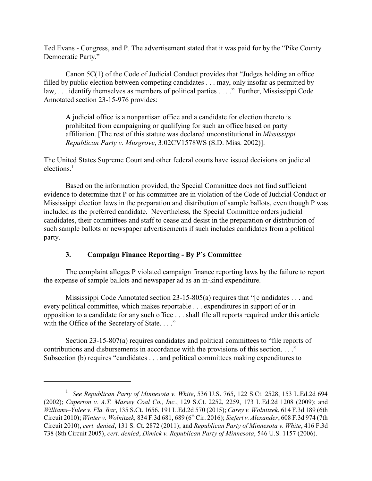Ted Evans - Congress, and P. The advertisement stated that it was paid for by the "Pike County Democratic Party."

Canon 5C(1) of the Code of Judicial Conduct provides that "Judges holding an office filled by public election between competing candidates . . . may, only insofar as permitted by law, . . . identify themselves as members of political parties . . . ." Further, Mississippi Code Annotated section 23-15-976 provides:

A judicial office is a nonpartisan office and a candidate for election thereto is prohibited from campaigning or qualifying for such an office based on party affiliation. [The rest of this statute was declared unconstitutional in *Mississippi Republican Party v. Musgrove*, 3:02CV1578WS (S.D. Miss. 2002)].

The United States Supreme Court and other federal courts have issued decisions on judicial  $elections<sup>1</sup>$ 

Based on the information provided, the Special Committee does not find sufficient evidence to determine that P or his committee are in violation of the Code of Judicial Conduct or Mississippi election laws in the preparation and distribution of sample ballots, even though P was included as the preferred candidate. Nevertheless, the Special Committee orders judicial candidates, their committees and staff to cease and desist in the preparation or distribution of such sample ballots or newspaper advertisements if such includes candidates from a political party.

# **3. Campaign Finance Reporting - By P's Committee**

The complaint alleges P violated campaign finance reporting laws by the failure to report the expense of sample ballots and newspaper ad as an in-kind expenditure.

Mississippi Code Annotated section 23-15-805(a) requires that "[c]andidates . . . and every political committee, which makes reportable . . . expenditures in support of or in opposition to a candidate for any such office . . . shall file all reports required under this article with the Office of the Secretary of State. . . ."

Section 23-15-807(a) requires candidates and political committees to "file reports of contributions and disbursements in accordance with the provisions of this section. . . ." Subsection (b) requires "candidates . . . and political committees making expenditures to

<sup>1</sup> *See Republican Party of Minnesota v. White*, 536 U.S. 765, 122 S.Ct. 2528, 153 L.Ed.2d 694 (2002); *Caperton v. A.T. Massey Coal Co., Inc.*, 129 S.Ct. 2252, 2259, 173 L.Ed.2d 1208 (2009); and *Williams–Yulee v. Fla. Bar*, 135 S.Ct. 1656, 191 L.Ed.2d 570 (2015); *Carey v. Wolnitzek*, 614 F.3d 189 (6th Circuit 2010); *Winter v. Wolnitzek,* 834 F.3d 681, 689 (6 thCir. 2016); *Siefert v. Alexander*, 608 F.3d 974 (7th Circuit 2010), *cert. denied*, 131 S. Ct. 2872 (2011); and *Republican Party of Minnesota v. White*, 416 F.3d 738 (8th Circuit 2005), *cert. denied*, *Dimick v. Republican Party of Minnesota*, 546 U.S. 1157 (2006).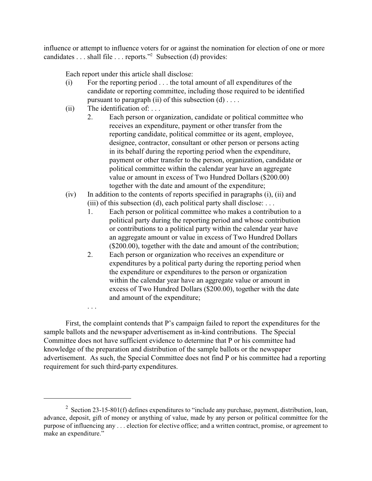influence or attempt to influence voters for or against the nomination for election of one or more candidates . . . shall file . . . reports."<sup>2</sup> Subsection (d) provides:

Each report under this article shall disclose:

- (i) For the reporting period . . . the total amount of all expenditures of the candidate or reporting committee, including those required to be identified pursuant to paragraph (ii) of this subsection  $(d)$ ...
- (ii) The identification of: . . .

. . .

- 2. Each person or organization, candidate or political committee who receives an expenditure, payment or other transfer from the reporting candidate, political committee or its agent, employee, designee, contractor, consultant or other person or persons acting in its behalf during the reporting period when the expenditure, payment or other transfer to the person, organization, candidate or political committee within the calendar year have an aggregate value or amount in excess of Two Hundred Dollars (\$200.00) together with the date and amount of the expenditure;
- (iv) In addition to the contents of reports specified in paragraphs (i), (ii) and (iii) of this subsection (d), each political party shall disclose: ...
	- 1. Each person or political committee who makes a contribution to a political party during the reporting period and whose contribution or contributions to a political party within the calendar year have an aggregate amount or value in excess of Two Hundred Dollars (\$200.00), together with the date and amount of the contribution;
	- 2. Each person or organization who receives an expenditure or expenditures by a political party during the reporting period when the expenditure or expenditures to the person or organization within the calendar year have an aggregate value or amount in excess of Two Hundred Dollars (\$200.00), together with the date and amount of the expenditure;

First, the complaint contends that P's campaign failed to report the expenditures for the sample ballots and the newspaper advertisement as in-kind contributions. The Special Committee does not have sufficient evidence to determine that P or his committee had knowledge of the preparation and distribution of the sample ballots or the newspaper advertisement. As such, the Special Committee does not find P or his committee had a reporting requirement for such third-party expenditures.

<sup>&</sup>lt;sup>2</sup> Section 23-15-801(f) defines expenditures to "include any purchase, payment, distribution, loan, advance, deposit, gift of money or anything of value, made by any person or political committee for the purpose of influencing any . . . election for elective office; and a written contract, promise, or agreement to make an expenditure."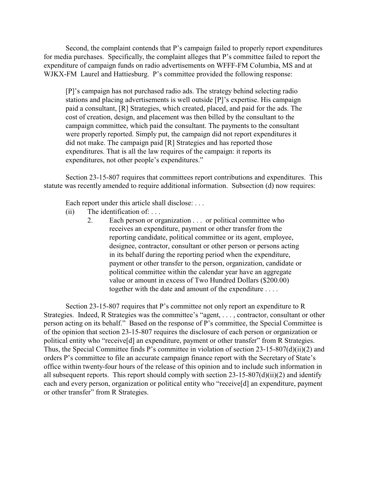Second, the complaint contends that P's campaign failed to properly report expenditures for media purchases. Specifically, the complaint alleges that P's committee failed to report the expenditure of campaign funds on radio advertisements on WFFF-FM Columbia, MS and at WJKX-FM Laurel and Hattiesburg. P's committee provided the following response:

[P]'s campaign has not purchased radio ads. The strategy behind selecting radio stations and placing advertisements is well outside [P]'s expertise. His campaign paid a consultant, [R] Strategies, which created, placed, and paid for the ads. The cost of creation, design, and placement was then billed by the consultant to the campaign committee, which paid the consultant. The payments to the consultant were properly reported. Simply put, the campaign did not report expenditures it did not make. The campaign paid [R] Strategies and has reported those expenditures. That is all the law requires of the campaign: it reports its expenditures, not other people's expenditures."

Section 23-15-807 requires that committees report contributions and expenditures. This statute was recently amended to require additional information. Subsection (d) now requires:

Each report under this article shall disclose: ...

- $(ii)$  The identification of: ...
	- 2. Each person or organization . . . or political committee who receives an expenditure, payment or other transfer from the reporting candidate, political committee or its agent, employee, designee, contractor, consultant or other person or persons acting in its behalf during the reporting period when the expenditure, payment or other transfer to the person, organization, candidate or political committee within the calendar year have an aggregate value or amount in excess of Two Hundred Dollars (\$200.00) together with the date and amount of the expenditure . . . .

Section 23-15-807 requires that P's committee not only report an expenditure to R Strategies. Indeed, R Strategies was the committee's "agent, . . . , contractor, consultant or other person acting on its behalf." Based on the response of P's committee, the Special Committee is of the opinion that section 23-15-807 requires the disclosure of each person or organization or political entity who "receive[d] an expenditure, payment or other transfer" from R Strategies. Thus, the Special Committee finds P's committee in violation of section 23-15-807(d)(ii)(2) and orders P's committee to file an accurate campaign finance report with the Secretary of State's office within twenty-four hours of the release of this opinion and to include such information in all subsequent reports. This report should comply with section  $23-15-807(d)(ii)(2)$  and identify each and every person, organization or political entity who "receive[d] an expenditure, payment or other transfer" from R Strategies.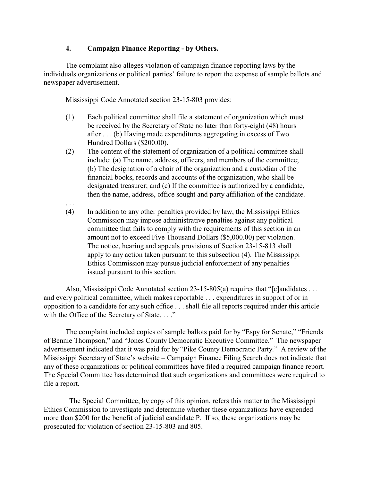#### **4. Campaign Finance Reporting - by Others.**

The complaint also alleges violation of campaign finance reporting laws by the individuals organizations or political parties' failure to report the expense of sample ballots and newspaper advertisement.

Mississippi Code Annotated section 23-15-803 provides:

. . .

- (1) Each political committee shall file a statement of organization which must be received by the Secretary of State no later than forty-eight (48) hours after . . . (b) Having made expenditures aggregating in excess of Two Hundred Dollars (\$200.00).
- (2) The content of the statement of organization of a political committee shall include: (a) The name, address, officers, and members of the committee; (b) The designation of a chair of the organization and a custodian of the financial books, records and accounts of the organization, who shall be designated treasurer; and (c) If the committee is authorized by a candidate, then the name, address, office sought and party affiliation of the candidate.
- (4) In addition to any other penalties provided by law, the Mississippi Ethics Commission may impose administrative penalties against any political committee that fails to comply with the requirements of this section in an amount not to exceed Five Thousand Dollars (\$5,000.00) per violation. The notice, hearing and appeals provisions of Section 23-15-813 shall apply to any action taken pursuant to this subsection (4). The Mississippi Ethics Commission may pursue judicial enforcement of any penalties issued pursuant to this section.

Also, Mississippi Code Annotated section 23-15-805(a) requires that "[c]andidates . . . and every political committee, which makes reportable . . . expenditures in support of or in opposition to a candidate for any such office . . . shall file all reports required under this article with the Office of the Secretary of State. . . ."

The complaint included copies of sample ballots paid for by "Espy for Senate," "Friends of Bennie Thompson," and "Jones County Democratic Executive Committee." The newspaper advertisement indicated that it was paid for by "Pike County Democratic Party." A review of the Mississippi Secretary of State's website – Campaign Finance Filing Search does not indicate that any of these organizations or political committees have filed a required campaign finance report. The Special Committee has determined that such organizations and committees were required to file a report.

 The Special Committee, by copy of this opinion, refers this matter to the Mississippi Ethics Commission to investigate and determine whether these organizations have expended more than \$200 for the benefit of judicial candidate P. If so, these organizations may be prosecuted for violation of section 23-15-803 and 805.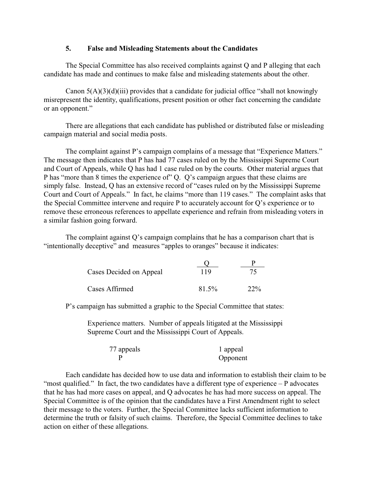#### **5. False and Misleading Statements about the Candidates**

The Special Committee has also received complaints against Q and P alleging that each candidate has made and continues to make false and misleading statements about the other.

Canon  $5(A)(3)(d)(iii)$  provides that a candidate for judicial office "shall not knowingly misrepresent the identity, qualifications, present position or other fact concerning the candidate or an opponent."

There are allegations that each candidate has published or distributed false or misleading campaign material and social media posts.

The complaint against P's campaign complains of a message that "Experience Matters." The message then indicates that P has had 77 cases ruled on by the Mississippi Supreme Court and Court of Appeals, while Q has had 1 case ruled on by the courts. Other material argues that P has "more than 8 times the experience of" Q. Q's campaign argues that these claims are simply false. Instead, Q has an extensive record of "cases ruled on by the Mississippi Supreme Court and Court of Appeals." In fact, he claims "more than 119 cases." The complaint asks that the Special Committee intervene and require P to accurately account for Q's experience or to remove these erroneous references to appellate experience and refrain from misleading voters in a similar fashion going forward.

The complaint against Q's campaign complains that he has a comparison chart that is "intentionally deceptive" and measures "apples to oranges" because it indicates:

| Cases Decided on Appeal | 119   | 75  |
|-------------------------|-------|-----|
| Cases Affirmed          | 81.5% | 22% |

P's campaign has submitted a graphic to the Special Committee that states:

Experience matters. Number of appeals litigated at the Mississippi Supreme Court and the Mississippi Court of Appeals.

| 77 appeals | 1 appeal |
|------------|----------|
|            | Opponent |

Each candidate has decided how to use data and information to establish their claim to be "most qualified." In fact, the two candidates have a different type of experience  $-P$  advocates that he has had more cases on appeal, and Q advocates he has had more success on appeal. The Special Committee is of the opinion that the candidates have a First Amendment right to select their message to the voters. Further, the Special Committee lacks sufficient information to determine the truth or falsity of such claims. Therefore, the Special Committee declines to take action on either of these allegations.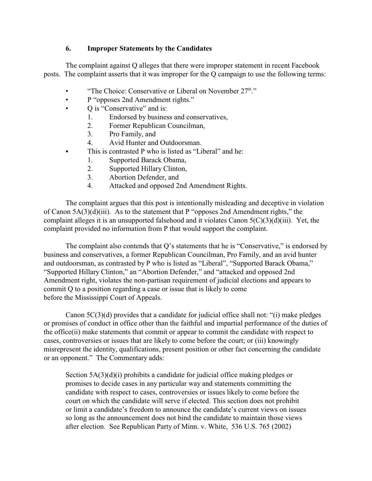## **6. Improper Statements by the Candidates**

The complaint against Q alleges that there were improper statement in recent Facebook posts. The complaint asserts that it was improper for the Q campaign to use the following terms:

- "The Choice: Conservative or Liberal on November  $27<sup>th</sup>$ ."
- P "opposes 2nd Amendment rights."
- Q is "Conservative" and is:
	- 1. Endorsed by business and conservatives,
	- 2. Former Republican Councilman,
	- 3. Pro Family, and
	- 4. Avid Hunter and Outdoorsman.
- This is contrasted P who is listed as "Liberal" and he:
	- 1. Supported Barack Obama,
	- 2. Supported Hillary Clinton,
	- 3. Abortion Defender, and
	- 4. Attacked and opposed 2nd Amendment Rights.

The complaint argues that this post is intentionally misleading and deceptive in violation of Canon 5A(3)(d)(iii). As to the statement that P "opposes 2nd Amendment rights," the complaint alleges it is an unsupported falsehood and it violates Canon 5(C)(3)(d)(iii). Yet, the complaint provided no information from P that would support the complaint.

The complaint also contends that Q's statements that he is "Conservative," is endorsed by business and conservatives, a former Republican Councilman, Pro Family, and an avid hunter and outdoorsman, as contrasted by P who is listed as "Liberal", "Supported Barack Obama," "Supported Hillary Clinton," an "Abortion Defender," and "attacked and opposed 2nd Amendment right, violates the non-partisan requirement of judicial elections and appears to commit Q to a position regarding a case or issue that is likely to come before the Mississippi Court of Appeals.

Canon  $5C(3)(d)$  provides that a candidate for judicial office shall not: "(i) make pledges or promises of conduct in office other than the faithful and impartial performance of the duties of the office(ii) make statements that commit or appear to commit the candidate with respect to cases, controversies or issues that are likely to come before the court; or (iii) knowingly misrepresent the identity, qualifications, present position or other fact concerning the candidate or an opponent." The Commentary adds:

Section 5A(3)(d)(i) prohibits a candidate for judicial office making pledges or promises to decide cases in any particular way and statements committing the candidate with respect to cases, controversies or issues likely to come before the court on which the candidate will serve if elected. This section does not prohibit or limit a candidate's freedom to announce the candidate's current views on issues so long as the announcement does not bind the candidate to maintain those views after election. See Republican Party of Minn. v. White, 536 U.S. 765 (2002)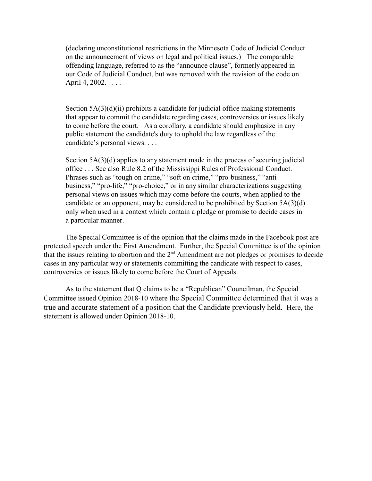(declaring unconstitutional restrictions in the Minnesota Code of Judicial Conduct on the announcement of views on legal and political issues.) The comparable offending language, referred to as the "announce clause", formerly appeared in our Code of Judicial Conduct, but was removed with the revision of the code on April 4, 2002. . . . .

Section  $5A(3)(d)(ii)$  prohibits a candidate for judicial office making statements that appear to commit the candidate regarding cases, controversies or issues likely to come before the court. As a corollary, a candidate should emphasize in any public statement the candidate's duty to uphold the law regardless of the candidate's personal views. . . .

Section 5A(3)(d) applies to any statement made in the process of securing judicial office . . . See also Rule 8.2 of the Mississippi Rules of Professional Conduct. Phrases such as "tough on crime," "soft on crime," "pro-business," "antibusiness," "pro-life," "pro-choice," or in any similar characterizations suggesting personal views on issues which may come before the courts, when applied to the candidate or an opponent, may be considered to be prohibited by Section 5A(3)(d) only when used in a context which contain a pledge or promise to decide cases in a particular manner.

The Special Committee is of the opinion that the claims made in the Facebook post are protected speech under the First Amendment. Further, the Special Committee is of the opinion that the issues relating to abortion and the  $2<sup>nd</sup>$  Amendment are not pledges or promises to decide cases in any particular way or statements committing the candidate with respect to cases, controversies or issues likely to come before the Court of Appeals.

As to the statement that Q claims to be a "Republican" Councilman, the Special Committee issued Opinion 2018-10 where the Special Committee determined that it was a true and accurate statement of a position that the Candidate previously held. Here, the statement is allowed under Opinion 2018-10.